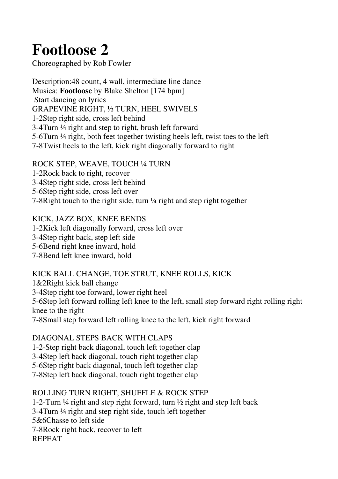# **Footloose 2**

Choreographed by Rob Fowler

Description:48 count, 4 wall, intermediate line dance Musica: **Footloose** by Blake Shelton [174 bpm] Start dancing on lyrics GRAPEVINE RIGHT, ½ TURN, HEEL SWIVELS 1-2Step right side, cross left behind 3-4Turn ¼ right and step to right, brush left forward 5-6Turn ¼ right, both feet together twisting heels left, twist toes to the left 7-8Twist heels to the left, kick right diagonally forward to right

#### ROCK STEP, WEAVE, TOUCH ¼ TURN

1-2Rock back to right, recover

3-4Step right side, cross left behind

5-6Step right side, cross left over

7-8Right touch to the right side, turn ¼ right and step right together

### KICK, JAZZ BOX, KNEE BENDS

1-2Kick left diagonally forward, cross left over 3-4Step right back, step left side 5-6Bend right knee inward, hold

7-8Bend left knee inward, hold

#### KICK BALL CHANGE, TOE STRUT, KNEE ROLLS, KICK

1&2Right kick ball change 3-4Step right toe forward, lower right heel 5-6Step left forward rolling left knee to the left, small step forward right rolling right knee to the right 7-8Small step forward left rolling knee to the left, kick right forward

## DIAGONAL STEPS BACK WITH CLAPS

1-2-Step right back diagonal, touch left together clap

3-4Step left back diagonal, touch right together clap

5-6Step right back diagonal, touch left together clap

7-8Step left back diagonal, touch right together clap

## ROLLING TURN RIGHT, SHUFFLE & ROCK STEP

1-2-Turn ¼ right and step right forward, turn ½ right and step left back 3-4Turn ¼ right and step right side, touch left together 5&6Chasse to left side 7-8Rock right back, recover to left REPEAT